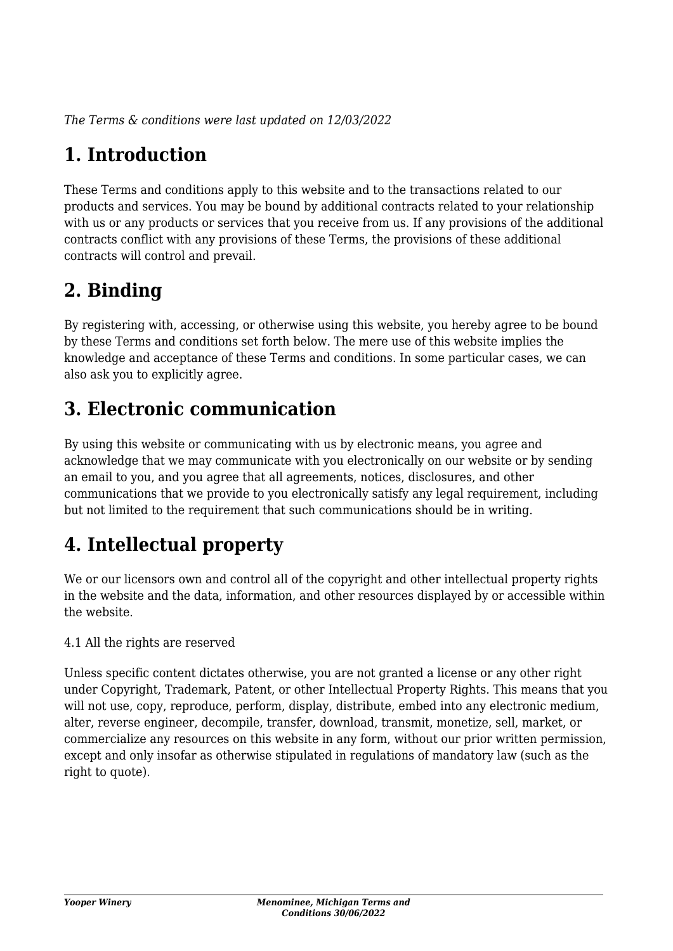*The Terms & conditions were last updated on 12/03/2022*

## **1. Introduction**

These Terms and conditions apply to this website and to the transactions related to our products and services. You may be bound by additional contracts related to your relationship with us or any products or services that you receive from us. If any provisions of the additional contracts conflict with any provisions of these Terms, the provisions of these additional contracts will control and prevail.

## **2. Binding**

By registering with, accessing, or otherwise using this website, you hereby agree to be bound by these Terms and conditions set forth below. The mere use of this website implies the knowledge and acceptance of these Terms and conditions. In some particular cases, we can also ask you to explicitly agree.

## **3. Electronic communication**

By using this website or communicating with us by electronic means, you agree and acknowledge that we may communicate with you electronically on our website or by sending an email to you, and you agree that all agreements, notices, disclosures, and other communications that we provide to you electronically satisfy any legal requirement, including but not limited to the requirement that such communications should be in writing.

## **4. Intellectual property**

We or our licensors own and control all of the copyright and other intellectual property rights in the website and the data, information, and other resources displayed by or accessible within the website.

4.1 All the rights are reserved

Unless specific content dictates otherwise, you are not granted a license or any other right under Copyright, Trademark, Patent, or other Intellectual Property Rights. This means that you will not use, copy, reproduce, perform, display, distribute, embed into any electronic medium, alter, reverse engineer, decompile, transfer, download, transmit, monetize, sell, market, or commercialize any resources on this website in any form, without our prior written permission, except and only insofar as otherwise stipulated in regulations of mandatory law (such as the right to quote).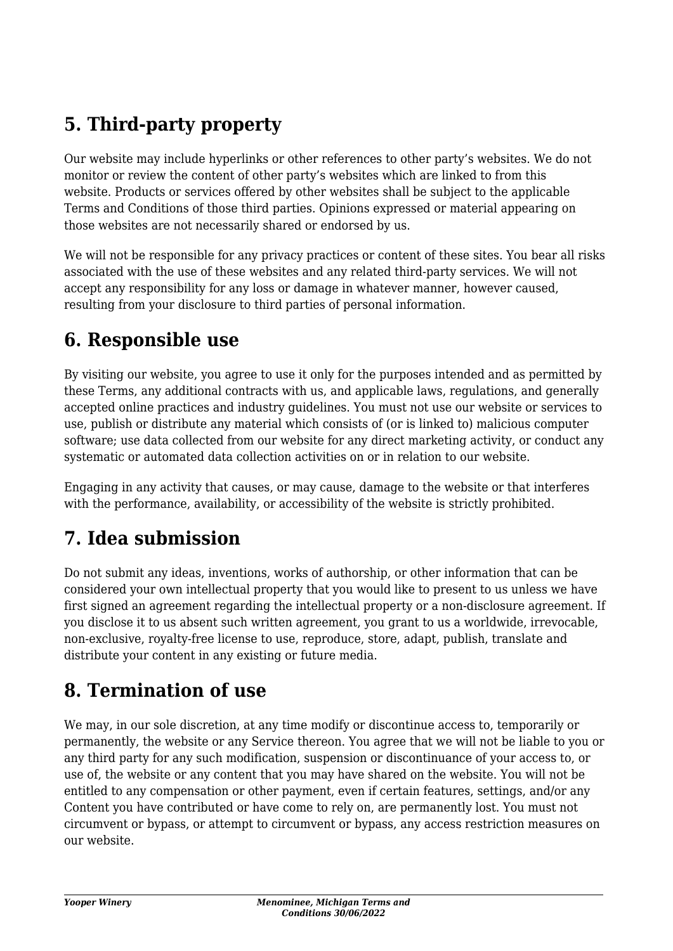## **5. Third-party property**

Our website may include hyperlinks or other references to other party's websites. We do not monitor or review the content of other party's websites which are linked to from this website. Products or services offered by other websites shall be subject to the applicable Terms and Conditions of those third parties. Opinions expressed or material appearing on those websites are not necessarily shared or endorsed by us.

We will not be responsible for any privacy practices or content of these sites. You bear all risks associated with the use of these websites and any related third-party services. We will not accept any responsibility for any loss or damage in whatever manner, however caused, resulting from your disclosure to third parties of personal information.

### **6. Responsible use**

By visiting our website, you agree to use it only for the purposes intended and as permitted by these Terms, any additional contracts with us, and applicable laws, regulations, and generally accepted online practices and industry guidelines. You must not use our website or services to use, publish or distribute any material which consists of (or is linked to) malicious computer software; use data collected from our website for any direct marketing activity, or conduct any systematic or automated data collection activities on or in relation to our website.

Engaging in any activity that causes, or may cause, damage to the website or that interferes with the performance, availability, or accessibility of the website is strictly prohibited.

### **7. Idea submission**

Do not submit any ideas, inventions, works of authorship, or other information that can be considered your own intellectual property that you would like to present to us unless we have first signed an agreement regarding the intellectual property or a non-disclosure agreement. If you disclose it to us absent such written agreement, you grant to us a worldwide, irrevocable, non-exclusive, royalty-free license to use, reproduce, store, adapt, publish, translate and distribute your content in any existing or future media.

### **8. Termination of use**

We may, in our sole discretion, at any time modify or discontinue access to, temporarily or permanently, the website or any Service thereon. You agree that we will not be liable to you or any third party for any such modification, suspension or discontinuance of your access to, or use of, the website or any content that you may have shared on the website. You will not be entitled to any compensation or other payment, even if certain features, settings, and/or any Content you have contributed or have come to rely on, are permanently lost. You must not circumvent or bypass, or attempt to circumvent or bypass, any access restriction measures on our website.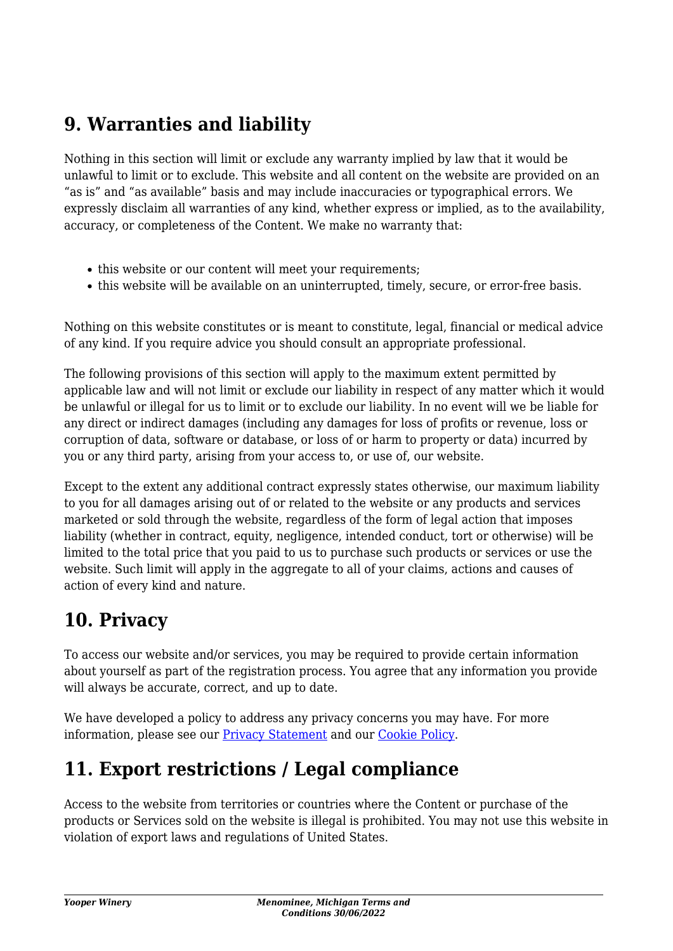### **9. Warranties and liability**

Nothing in this section will limit or exclude any warranty implied by law that it would be unlawful to limit or to exclude. This website and all content on the website are provided on an "as is" and "as available" basis and may include inaccuracies or typographical errors. We expressly disclaim all warranties of any kind, whether express or implied, as to the availability, accuracy, or completeness of the Content. We make no warranty that:

- this website or our content will meet your requirements;
- this website will be available on an uninterrupted, timely, secure, or error-free basis.

Nothing on this website constitutes or is meant to constitute, legal, financial or medical advice of any kind. If you require advice you should consult an appropriate professional.

The following provisions of this section will apply to the maximum extent permitted by applicable law and will not limit or exclude our liability in respect of any matter which it would be unlawful or illegal for us to limit or to exclude our liability. In no event will we be liable for any direct or indirect damages (including any damages for loss of profits or revenue, loss or corruption of data, software or database, or loss of or harm to property or data) incurred by you or any third party, arising from your access to, or use of, our website.

Except to the extent any additional contract expressly states otherwise, our maximum liability to you for all damages arising out of or related to the website or any products and services marketed or sold through the website, regardless of the form of legal action that imposes liability (whether in contract, equity, negligence, intended conduct, tort or otherwise) will be limited to the total price that you paid to us to purchase such products or services or use the website. Such limit will apply in the aggregate to all of your claims, actions and causes of action of every kind and nature.

### **10. Privacy**

To access our website and/or services, you may be required to provide certain information about yourself as part of the registration process. You agree that any information you provide will always be accurate, correct, and up to date.

We have developed a policy to address any privacy concerns you may have. For more information, please see our **Privacy Statement** and our [Cookie Policy](https://yooperwinery.com/cookie-policy-us/).

### **11. Export restrictions / Legal compliance**

Access to the website from territories or countries where the Content or purchase of the products or Services sold on the website is illegal is prohibited. You may not use this website in violation of export laws and regulations of United States.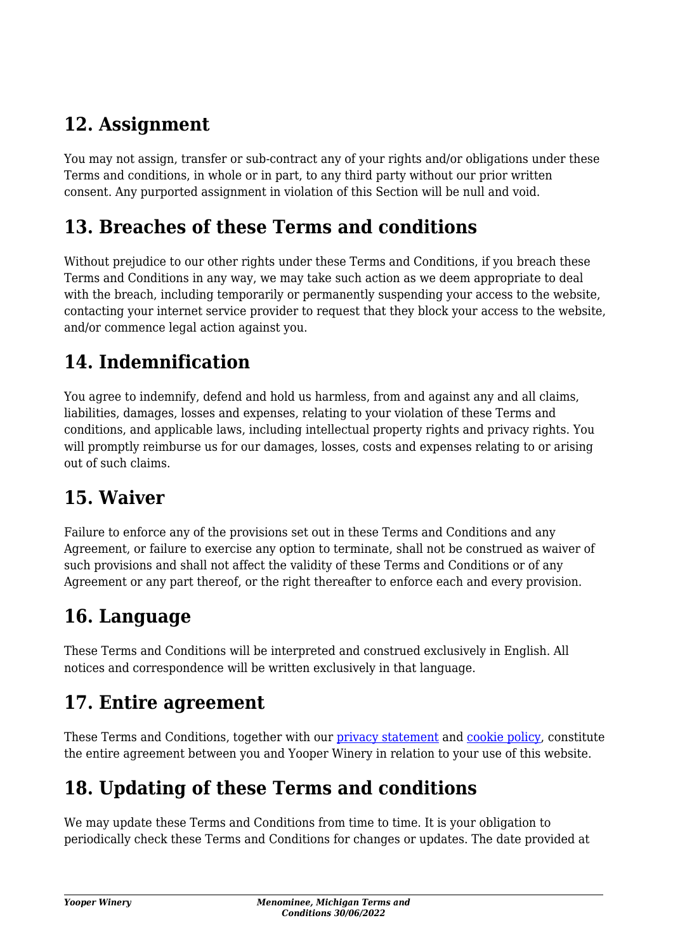### **12. Assignment**

You may not assign, transfer or sub-contract any of your rights and/or obligations under these Terms and conditions, in whole or in part, to any third party without our prior written consent. Any purported assignment in violation of this Section will be null and void.

#### **13. Breaches of these Terms and conditions**

Without prejudice to our other rights under these Terms and Conditions, if you breach these Terms and Conditions in any way, we may take such action as we deem appropriate to deal with the breach, including temporarily or permanently suspending your access to the website, contacting your internet service provider to request that they block your access to the website, and/or commence legal action against you.

## **14. Indemnification**

You agree to indemnify, defend and hold us harmless, from and against any and all claims, liabilities, damages, losses and expenses, relating to your violation of these Terms and conditions, and applicable laws, including intellectual property rights and privacy rights. You will promptly reimburse us for our damages, losses, costs and expenses relating to or arising out of such claims.

### **15. Waiver**

Failure to enforce any of the provisions set out in these Terms and Conditions and any Agreement, or failure to exercise any option to terminate, shall not be construed as waiver of such provisions and shall not affect the validity of these Terms and Conditions or of any Agreement or any part thereof, or the right thereafter to enforce each and every provision.

### **16. Language**

These Terms and Conditions will be interpreted and construed exclusively in English. All notices and correspondence will be written exclusively in that language.

### **17. Entire agreement**

These Terms and Conditions, together with our [privacy statement](https://yooperwinery.com/privacy-policy/) and [cookie policy,](https://yooperwinery.com/cookie-policy-us/) constitute the entire agreement between you and Yooper Winery in relation to your use of this website.

## **18. Updating of these Terms and conditions**

We may update these Terms and Conditions from time to time. It is your obligation to periodically check these Terms and Conditions for changes or updates. The date provided at